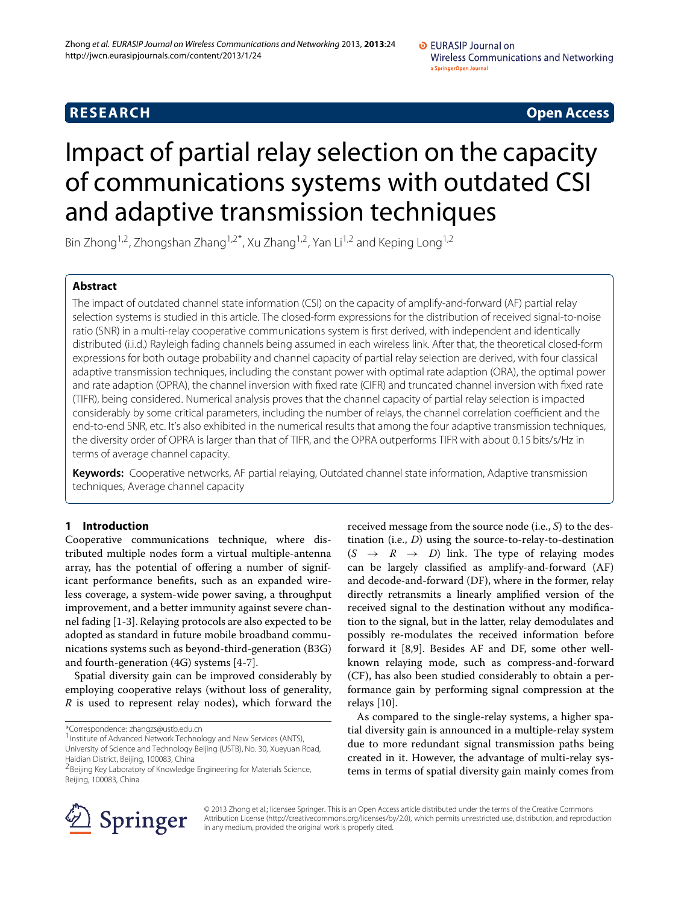## **RESEARCH Open Access**

# Impact of partial relay selection on the capacity of communications systems with outdated CSI and adaptive transmission techniques

Bin Zhong<sup>1,2</sup>, Zhongshan Zhang<sup>1,2\*</sup>, Xu Zhang<sup>1,2</sup>, Yan Li<sup>1,2</sup> and Keping Long<sup>1,2</sup>

## **Abstract**

The impact of outdated channel state information (CSI) on the capacity of amplify-and-forward (AF) partial relay selection systems is studied in this article. The closed-form expressions for the distribution of received signal-to-noise ratio (SNR) in a multi-relay cooperative communications system is first derived, with independent and identically distributed (i.i.d.) Rayleigh fading channels being assumed in each wireless link. After that, the theoretical closed-form expressions for both outage probability and channel capacity of partial relay selection are derived, with four classical adaptive transmission techniques, including the constant power with optimal rate adaption (ORA), the optimal power and rate adaption (OPRA), the channel inversion with fixed rate (CIFR) and truncated channel inversion with fixed rate (TIFR), being considered. Numerical analysis proves that the channel capacity of partial relay selection is impacted considerably by some critical parameters, including the number of relays, the channel correlation coefficient and the end-to-end SNR, etc. It's also exhibited in the numerical results that among the four adaptive transmission techniques, the diversity order of OPRA is larger than that of TIFR, and the OPRA outperforms TIFR with about 0.15 bits/s/Hz in terms of average channel capacity.

**Keywords:** Cooperative networks, AF partial relaying, Outdated channel state information, Adaptive transmission techniques, Average channel capacity

## **1 Introduction**

Cooperative communications technique, where distributed multiple nodes form a virtual multiple-antenna array, has the potential of offering a number of significant performance benefits, such as an expanded wireless coverage, a system-wide power saving, a throughput improvement, and a better immunity against severe channel fading [\[1](#page-11-0)[-3\]](#page-11-1). Relaying protocols are also expected to be adopted as standard in future mobile broadband communications systems such as beyond-third-generation (B3G) and fourth-generation (4G) systems [\[4](#page-11-2)[-7\]](#page-11-3).

Spatial diversity gain can be improved considerably by employing cooperative relays (without loss of generality, *R* is used to represent relay nodes), which forward the

\*Correspondence: zhangzs@ustb.edu.cn

1Institute of Advanced Network Technology and New Services (ANTS), University of Science and Technology Beijing (USTB), No. 30, Xueyuan Road, Haidian District, Beijing, 100083, China

received message from the source node (i.e., *S*) to the destination (i.e., *D*) using the source-to-relay-to-destination  $(S \rightarrow R \rightarrow D)$  link. The type of relaying modes can be largely classified as amplify-and-forward (AF) and decode-and-forward (DF), where in the former, relay directly retransmits a linearly amplified version of the received signal to the destination without any modification to the signal, but in the latter, relay demodulates and possibly re-modulates the received information before forward it [\[8,](#page-11-4)[9\]](#page-11-5). Besides AF and DF, some other wellknown relaying mode, such as compress-and-forward (CF), has also been studied considerably to obtain a performance gain by performing signal compression at the relays [\[10\]](#page-11-6).

As compared to the single-relay systems, a higher spatial diversity gain is announced in a multiple-relay system due to more redundant signal transmission paths being created in it. However, the advantage of multi-relay systems in terms of spatial diversity gain mainly comes from



© 2013 Zhong et al.; licensee Springer. This is an Open Access article distributed under the terms of the Creative Commons Attribution License (http://creativecommons.org/licenses/by/2.0), which permits unrestricted use, distribution, and reproduction in any medium, provided the original work is properly cited.

<sup>2</sup>Beijing Key Laboratory of Knowledge Engineering for Materials Science, Beijing, 100083, China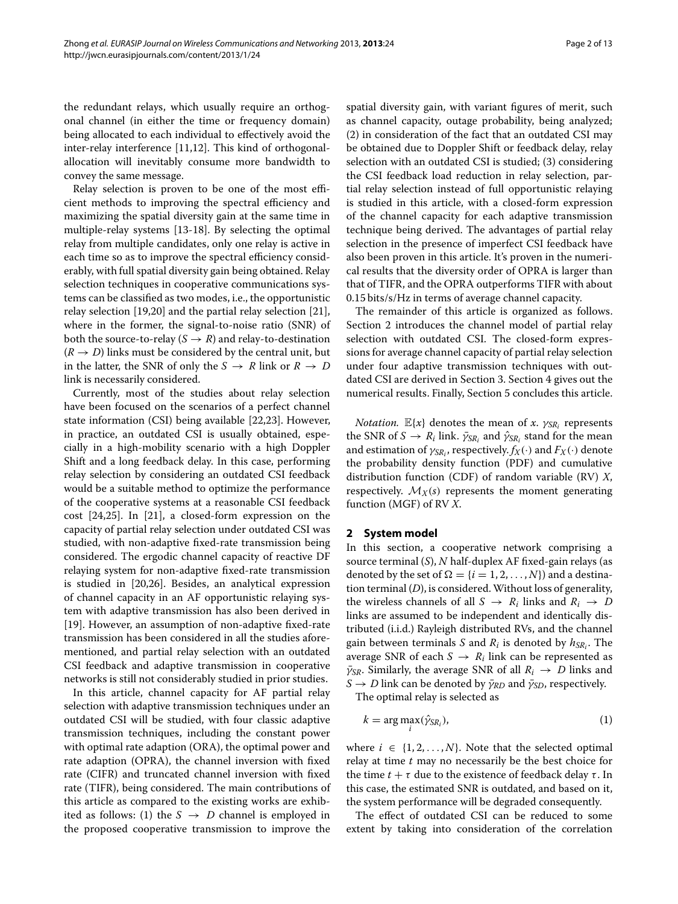the redundant relays, which usually require an orthogonal channel (in either the time or frequency domain) being allocated to each individual to effectively avoid the inter-relay interference [\[11,](#page-12-0)[12\]](#page-12-1). This kind of orthogonalallocation will inevitably consume more bandwidth to convey the same message.

Relay selection is proven to be one of the most efficient methods to improving the spectral efficiency and maximizing the spatial diversity gain at the same time in multiple-relay systems [\[13-](#page-12-2)[18\]](#page-12-3). By selecting the optimal relay from multiple candidates, only one relay is active in each time so as to improve the spectral efficiency considerably, with full spatial diversity gain being obtained. Relay selection techniques in cooperative communications systems can be classified as two modes, i.e., the opportunistic relay selection [\[19](#page-12-4)[,20\]](#page-12-5) and the partial relay selection [\[21\]](#page-12-6), where in the former, the signal-to-noise ratio (SNR) of both the source-to-relay  $(S \rightarrow R)$  and relay-to-destination  $(R \rightarrow D)$  links must be considered by the central unit, but in the latter, the SNR of only the  $S \rightarrow R$  link or  $R \rightarrow D$ link is necessarily considered.

Currently, most of the studies about relay selection have been focused on the scenarios of a perfect channel state information (CSI) being available [\[22,](#page-12-7)[23\]](#page-12-8). However, in practice, an outdated CSI is usually obtained, especially in a high-mobility scenario with a high Doppler Shift and a long feedback delay. In this case, performing relay selection by considering an outdated CSI feedback would be a suitable method to optimize the performance of the cooperative systems at a reasonable CSI feedback cost [\[24,](#page-12-9)[25\]](#page-12-10). In [\[21\]](#page-12-6), a closed-form expression on the capacity of partial relay selection under outdated CSI was studied, with non-adaptive fixed-rate transmission being considered. The ergodic channel capacity of reactive DF relaying system for non-adaptive fixed-rate transmission is studied in [\[20,](#page-12-5)[26\]](#page-12-11). Besides, an analytical expression of channel capacity in an AF opportunistic relaying system with adaptive transmission has also been derived in [\[19\]](#page-12-4). However, an assumption of non-adaptive fixed-rate transmission has been considered in all the studies aforementioned, and partial relay selection with an outdated CSI feedback and adaptive transmission in cooperative networks is still not considerably studied in prior studies.

In this article, channel capacity for AF partial relay selection with adaptive transmission techniques under an outdated CSI will be studied, with four classic adaptive transmission techniques, including the constant power with optimal rate adaption (ORA), the optimal power and rate adaption (OPRA), the channel inversion with fixed rate (CIFR) and truncated channel inversion with fixed rate (TIFR), being considered. The main contributions of this article as compared to the existing works are exhibited as follows: (1) the  $S \rightarrow D$  channel is employed in the proposed cooperative transmission to improve the

spatial diversity gain, with variant figures of merit, such as channel capacity, outage probability, being analyzed; (2) in consideration of the fact that an outdated CSI may be obtained due to Doppler Shift or feedback delay, relay selection with an outdated CSI is studied; (3) considering the CSI feedback load reduction in relay selection, partial relay selection instead of full opportunistic relaying is studied in this article, with a closed-form expression of the channel capacity for each adaptive transmission technique being derived. The advantages of partial relay selection in the presence of imperfect CSI feedback have also been proven in this article. It's proven in the numerical results that the diversity order of OPRA is larger than that of TIFR, and the OPRA outperforms TIFR with about 0.15 bits/s/Hz in terms of average channel capacity.

The remainder of this article is organized as follows. Section [2](#page-1-0) introduces the channel model of partial relay selection with outdated CSI. The closed-form expressions for average channel capacity of partial relay selection under four adaptive transmission techniques with outdated CSI are derived in Section [3.](#page-2-0) Section [4](#page-4-0) gives out the numerical results. Finally, Section [5](#page-7-0) concludes this article.

*Notation.*  $\mathbb{E}\{x\}$  denotes the mean of *x*.  $\gamma_{SR_i}$  represents the SNR of  $S \to R_i$  link.  $\bar{\gamma}_{SR_i}$  and  $\hat{\gamma}_{SR_i}$  stand for the mean and estimation of  $\gamma_{SR}$ , respectively.  $f_X(\cdot)$  and  $F_X(\cdot)$  denote the probability density function (PDF) and cumulative distribution function (CDF) of random variable (RV) *X*, respectively.  $\mathcal{M}_X(s)$  represents the moment generating function (MGF) of RV *X*.

## <span id="page-1-0"></span>**2 System model**

In this section, a cooperative network comprising a source terminal (*S*), *N* half-duplex AF fixed-gain relays (as denoted by the set of  $\Omega = \{i = 1, 2, ..., N\}$  and a destination terminal (*D*), is considered.Without loss of generality, the wireless channels of all  $S \rightarrow R_i$  links and  $R_i \rightarrow D$ links are assumed to be independent and identically distributed (i.i.d.) Rayleigh distributed RVs, and the channel gain between terminals *S* and  $R_i$  is denoted by  $h_{SR}$ . The average SNR of each  $S \to R_i$  link can be represented as  $\bar{\gamma}_{SR}$ . Similarly, the average SNR of all  $R_i \rightarrow D$  links and  $S \rightarrow D$  link can be denoted by  $\bar{\gamma}_{RD}$  and  $\bar{\gamma}_{SD}$ , respectively. The optimal relay is selected as

<span id="page-1-1"></span> $k = \arg \max_i (\hat{\gamma}_{SR_i}),$  (1)

where  $i \in \{1, 2, ..., N\}$ . Note that the selected optimal relay at time *t* may no necessarily be the best choice for the time  $t + \tau$  due to the existence of feedback delay  $\tau$ . In this case, the estimated SNR is outdated, and based on it, the system performance will be degraded consequently.

The effect of outdated CSI can be reduced to some extent by taking into consideration of the correlation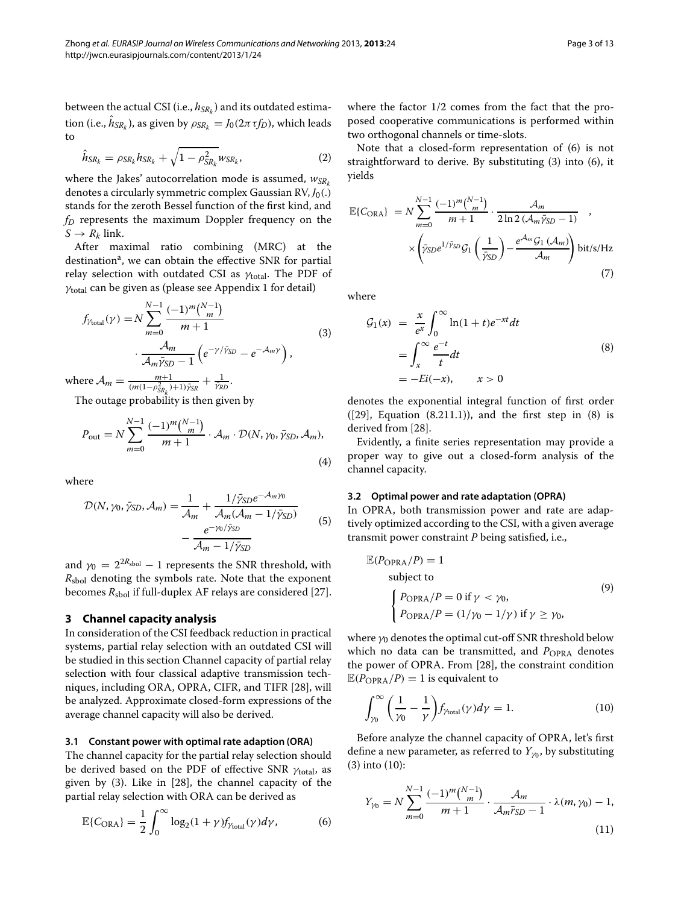between the actual CSI (i.e.,  $h_{SR_k}$ ) and its outdated estimation (i.e.,  $\hat{h}_{SR_k}$ ), as given by  $\rho_{SR_k} = J_0(2\pi \tau f_D)$ , which leads to

<span id="page-2-7"></span>
$$
\hat{h}_{SR_k} = \rho_{SR_k} h_{SR_k} + \sqrt{1 - \rho_{SR_k}^2} w_{SR_k},
$$
\n(2)

where the Jakes' autocorrelation mode is assumed,  $w_{SRk}$ denotes a circularly symmetric complex Gaussian RV, *J*0(.) stands for the zeroth Bessel function of the first kind, and *fD* represents the maximum Doppler frequency on the  $S \rightarrow R_k$  link.

After maximal ratio combining (MRC) at the destination<sup>a</sup>, we can obtain the effective SNR for partial relay selection with outdated CSI as  $\gamma_{\text{total}}$ . The PDF of γtotal can be given as (please see Appendix 1 for detail)

$$
f_{\gamma_{\text{total}}}(\gamma) = N \sum_{m=0}^{N-1} \frac{(-1)^m \binom{N-1}{m}}{m+1} \\ \cdot \frac{\mathcal{A}_m}{\mathcal{A}_m \bar{\gamma}_{\text{SD}} - 1} \left( e^{-\gamma / \bar{\gamma}_{\text{SD}}} - e^{-\mathcal{A}_m \gamma} \right), \tag{3}
$$

where  $A_m = \frac{m+1}{(m(1-\rho_{SR_k}^2)+1)\bar{y}_{SR}} + \frac{1}{\bar{y}_{RD}}$ .

The outage probability is then given by

$$
P_{\text{out}} = N \sum_{m=0}^{N-1} \frac{(-1)^m \binom{N-1}{m}}{m+1} \cdot \mathcal{A}_m \cdot \mathcal{D}(N, \gamma_0, \bar{\gamma}_{SD}, \mathcal{A}_m),\tag{4}
$$

where

$$
\mathcal{D}(N, \gamma_0, \bar{\gamma}_{SD}, \mathcal{A}_m) = \frac{1}{\mathcal{A}_m} + \frac{1/\bar{\gamma}_{SD}e^{-\mathcal{A}_m\gamma_0}}{\mathcal{A}_m(\mathcal{A}_m - 1/\bar{\gamma}_{SD})} - \frac{e^{-\gamma_0/\bar{\gamma}_{SD}}}{\mathcal{A}_m - 1/\bar{\gamma}_{SD}}
$$
(5)

and  $\gamma_0 = 2^{2R_{\text{sbol}}} - 1$  represents the SNR threshold, with *R*sbol denoting the symbols rate. Note that the exponent becomes  $R_{\text{sbol}}$  if full-duplex AF relays are considered [\[27\]](#page-12-12).

#### <span id="page-2-0"></span>**3 Channel capacity analysis**

In consideration of the CSI feedback reduction in practical systems, partial relay selection with an outdated CSI will be studied in this section Channel capacity of partial relay selection with four classical adaptive transmission techniques, including ORA, OPRA, CIFR, and TIFR [\[28\]](#page-12-13), will be analyzed. Approximate closed-form expressions of the average channel capacity will also be derived.

#### **3.1 Constant power with optimal rate adaption (ORA)**

The channel capacity for the partial relay selection should be derived based on the PDF of effective SNR  $\gamma_{\text{total}}$ , as given by [\(3\)](#page-2-1). Like in [\[28\]](#page-12-13), the channel capacity of the partial relay selection with ORA can be derived as

$$
\mathbb{E}\{C_{\text{ORA}}\} = \frac{1}{2} \int_0^\infty \log_2(1+\gamma) f_{\gamma_{\text{total}}}(\gamma) d\gamma,\tag{6}
$$

where the factor 1/2 comes from the fact that the proposed cooperative communications is performed within two orthogonal channels or time-slots.

Note that a closed-form representation of [\(6\)](#page-2-2) is not straightforward to derive. By substituting [\(3\)](#page-2-1) into [\(6\)](#page-2-2), it yields

<span id="page-2-6"></span>
$$
\mathbb{E}\lbrace C_{\text{ORA}} \rbrace = N \sum_{m=0}^{N-1} \frac{(-1)^m \binom{N-1}{m}}{m+1} \cdot \frac{\mathcal{A}_m}{2 \ln 2 \left(\mathcal{A}_m \bar{\gamma}_{SD} - 1\right)} \times \left( \bar{\gamma}_{SD} e^{1/\bar{\gamma}_{SD}} \mathcal{G}_1 \left( \frac{1}{\bar{\gamma}_{SD}} \right) - \frac{e^{\mathcal{A}_m} \mathcal{G}_1 \left(\mathcal{A}_m\right)}{\mathcal{A}_m} \right) \text{bit/s/Hz}
$$
\n
$$
\tag{7}
$$

<span id="page-2-1"></span>where

<span id="page-2-3"></span>
$$
G_1(x) = \frac{x}{e^x} \int_0^\infty \ln(1+t)e^{-xt}dt
$$
  
= 
$$
\int_x^\infty \frac{e^{-t}}{t}dt
$$
  
= 
$$
-Ei(-x), \qquad x > 0
$$
 (8)

denotes the exponential integral function of first order  $(29)$ , Equation  $(8.211.1)$ , and the first step in  $(8)$  is derived from [\[28\]](#page-12-13).

Evidently, a finite series representation may provide a proper way to give out a closed-form analysis of the channel capacity.

#### **3.2 Optimal power and rate adaptation (OPRA)**

In OPRA, both transmission power and rate are adaptively optimized according to the CSI, with a given average transmit power constraint *P* being satisfied, i.e.,

<span id="page-2-5"></span>
$$
\mathbb{E}(P_{\text{OPRA}}/P) = 1
$$
  
subject to  

$$
\begin{cases} P_{\text{OPRA}}/P = 0 \text{ if } \gamma < \gamma_0, \\ P_{\text{OPRA}}/P = (1/\gamma_0 - 1/\gamma) \text{ if } \gamma \ge \gamma_0, \end{cases}
$$
 (9)

where  $y_0$  denotes the optimal cut-off SNR threshold below which no data can be transmitted, and P<sub>OPRA</sub> denotes the power of OPRA. From [\[28\]](#page-12-13), the constraint condition  $\mathbb{E}(P_{\text{OPRA}}/P) = 1$  is equivalent to

<span id="page-2-4"></span>
$$
\int_{\gamma_0}^{\infty} \left( \frac{1}{\gamma_0} - \frac{1}{\gamma} \right) f_{\gamma_{\text{total}}}(\gamma) d\gamma = 1. \tag{10}
$$

Before analyze the channel capacity of OPRA, let's first define a new parameter, as referred to  $Y_{\gamma_0}$ , by substituting [\(3\)](#page-2-1) into [\(10\)](#page-2-4):

<span id="page-2-2"></span>
$$
Y_{\gamma_0} = N \sum_{m=0}^{N-1} \frac{(-1)^m \binom{N-1}{m}}{m+1} \cdot \frac{\mathcal{A}_m}{\mathcal{A}_m \bar{r}_{SD} - 1} \cdot \lambda(m, \gamma_0) - 1,
$$
\n(11)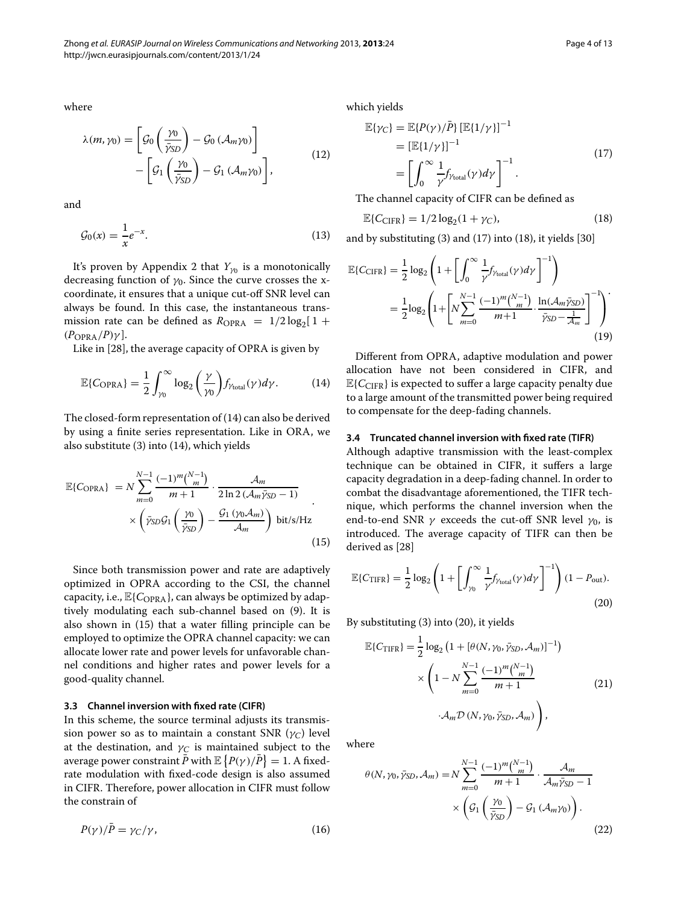where

$$
\lambda(m, \gamma_0) = \left[ \mathcal{G}_0 \left( \frac{\gamma_0}{\bar{\gamma}_{SD}} \right) - \mathcal{G}_0 \left( \mathcal{A}_m \gamma_0 \right) \right] - \left[ \mathcal{G}_1 \left( \frac{\gamma_0}{\bar{\gamma}_{SD}} \right) - \mathcal{G}_1 \left( \mathcal{A}_m \gamma_0 \right) \right],
$$
\n(12)

and

$$
\mathcal{G}_0(x) = \frac{1}{x} e^{-x}.\tag{13}
$$

It's proven by Appendix 2 that  $Y_{\gamma_0}$  is a monotonically decreasing function of  $\gamma_0$ . Since the curve crosses the xcoordinate, it ensures that a unique cut-off SNR level can always be found. In this case, the instantaneous transmission rate can be defined as  $R_{OPRA} = 1/2 \log_2[1 +$  $(P_{OPRA}/P)\gamma$ ].

Like in [\[28\]](#page-12-13), the average capacity of OPRA is given by

$$
\mathbb{E}\{C_{\text{OPRA}}\} = \frac{1}{2} \int_{\gamma_0}^{\infty} \log_2\left(\frac{\gamma}{\gamma_0}\right) f_{\gamma_{\text{total}}}(\gamma) d\gamma. \tag{14}
$$

The closed-form representation of [\(14\)](#page-3-0) can also be derived by using a finite series representation. Like in ORA, we also substitute [\(3\)](#page-2-1) into [\(14\)](#page-3-0), which yields

$$
\mathbb{E}\lbrace C_{\text{OPRA}}\rbrace = N \sum_{m=0}^{N-1} \frac{(-1)^m \binom{N-1}{m}}{m+1} \cdot \frac{\mathcal{A}_m}{2 \ln 2 \left(\mathcal{A}_m \bar{\gamma}_{SD} - 1\right)} \times \left(\bar{\gamma}_{SD} \mathcal{G}_1 \left(\frac{\gamma_0}{\bar{\gamma}_{SD}}\right) - \frac{\mathcal{G}_1 \left(\gamma_0 \mathcal{A}_m\right)}{\mathcal{A}_m}\right) \text{ bit/s/Hz}
$$
\n(15)

Since both transmission power and rate are adaptively optimized in OPRA according to the CSI, the channel capacity, i.e.,  $\mathbb{E}\{C_{\text{OPRA}}\}$ , can always be optimized by adaptively modulating each sub-channel based on [\(9\)](#page-2-5). It is also shown in [\(15\)](#page-3-1) that a water filling principle can be employed to optimize the OPRA channel capacity: we can allocate lower rate and power levels for unfavorable channel conditions and higher rates and power levels for a good-quality channel.

#### **3.3 Channel inversion with fixed rate (CIFR)**

In this scheme, the source terminal adjusts its transmission power so as to maintain a constant SNR  $(\gamma_C)$  level at the destination, and  $\gamma_C$  is maintained subject to the average power constraint  $\bar{P}$  with  $\mathbb{E}\left\{P(\gamma)/\bar{P}\right\} = 1$ . A fixedrate modulation with fixed-code design is also assumed in CIFR. Therefore, power allocation in CIFR must follow the constrain of

$$
P(\gamma)/\bar{P} = \gamma_C/\gamma,\tag{16}
$$

which yields

<span id="page-3-2"></span>
$$
\mathbb{E}\{\gamma_C\} = \mathbb{E}\{P(\gamma)/\bar{P}\} \left[\mathbb{E}\{1/\gamma\}\right]^{-1}
$$
  
\n
$$
= \left[\mathbb{E}\{1/\gamma\}\right]^{-1}
$$
  
\n
$$
= \left[\int_0^\infty \frac{1}{\gamma} f_{\gamma_{\text{total}}}(\gamma) d\gamma\right]^{-1}.
$$
\n(17)

The channel capacity of CIFR can be defined as

<span id="page-3-5"></span><span id="page-3-3"></span>
$$
\mathbb{E}\lbrace C_{\text{CIFR}} \rbrace = 1/2 \log_2(1 + \gamma_C),\tag{18}
$$

and by substituting [\(3\)](#page-2-1) and [\(17\)](#page-3-2) into [\(18\)](#page-3-3), it yields [\[30\]](#page-12-15)

$$
\mathbb{E}\{C_{\text{CIFR}}\} = \frac{1}{2}\log_2\left(1 + \left[\int_0^\infty \frac{1}{\gamma} f_{\gamma_{\text{total}}}(\gamma) d\gamma\right]^{-1}\right)
$$

$$
= \frac{1}{2}\log_2\left(1 + \left[N\sum_{m=0}^{N-1} \frac{(-1)^m \binom{N-1}{m}}{m+1} \cdot \frac{\ln(\mathcal{A}_m \bar{\gamma}_{\text{SD}})}{\bar{\gamma}_{\text{SD}} - \frac{1}{\mathcal{A}_m}}\right]^{-1}\right)
$$
(19)

<span id="page-3-0"></span>Different from OPRA, adaptive modulation and power allocation have not been considered in CIFR, and  $\mathbb{E}{C_{CIFR}}$  is expected to suffer a large capacity penalty due to a large amount of the transmitted power being required to compensate for the deep-fading channels.

#### <span id="page-3-1"></span>**3.4 Truncated channel inversion with fixed rate (TIFR)**

Although adaptive transmission with the least-complex technique can be obtained in CIFR, it suffers a large capacity degradation in a deep-fading channel. In order to combat the disadvantage aforementioned, the TIFR technique, which performs the channel inversion when the end-to-end SNR  $\gamma$  exceeds the cut-off SNR level  $\gamma_0$ , is introduced. The average capacity of TIFR can then be derived as [\[28\]](#page-12-13)

<span id="page-3-4"></span>
$$
\mathbb{E}\lbrace C_{\text{TIFR}}\rbrace = \frac{1}{2}\log_2\left(1 + \left[\int_{\gamma_0}^{\infty} \frac{1}{\gamma} f_{\gamma_{\text{total}}}(\gamma) d\gamma\right]^{-1}\right) (1 - P_{\text{out}}). \tag{20}
$$

By substituting [\(3\)](#page-2-1) into [\(20\)](#page-3-4), it yields

<span id="page-3-6"></span>
$$
\mathbb{E}\lbrace C_{\text{TIFR}}\rbrace = \frac{1}{2} \log_2 \left(1 + [\theta(N, \gamma_0, \bar{\gamma}_{SD}, \mathcal{A}_m)]^{-1}\right) \times \left(1 - N \sum_{m=0}^{N-1} \frac{(-1)^m \binom{N-1}{m}}{m+1} \right)
$$
\n
$$
\cdot \mathcal{A}_m \mathcal{D}\left(N, \gamma_0, \bar{\gamma}_{SD}, \mathcal{A}_m\right)\right), \tag{21}
$$

where

$$
\theta(N, \gamma_0, \bar{\gamma}_{SD}, \mathcal{A}_m) = N \sum_{m=0}^{N-1} \frac{(-1)^m \binom{N-1}{m}}{m+1} \cdot \frac{\mathcal{A}_m}{\mathcal{A}_m \bar{\gamma}_{SD} - 1}
$$

$$
\times \left( \mathcal{G}_1 \left( \frac{\gamma_0}{\bar{\gamma}_{SD}} \right) - \mathcal{G}_1 \left( \mathcal{A}_m \gamma_0 \right) \right). \tag{22}
$$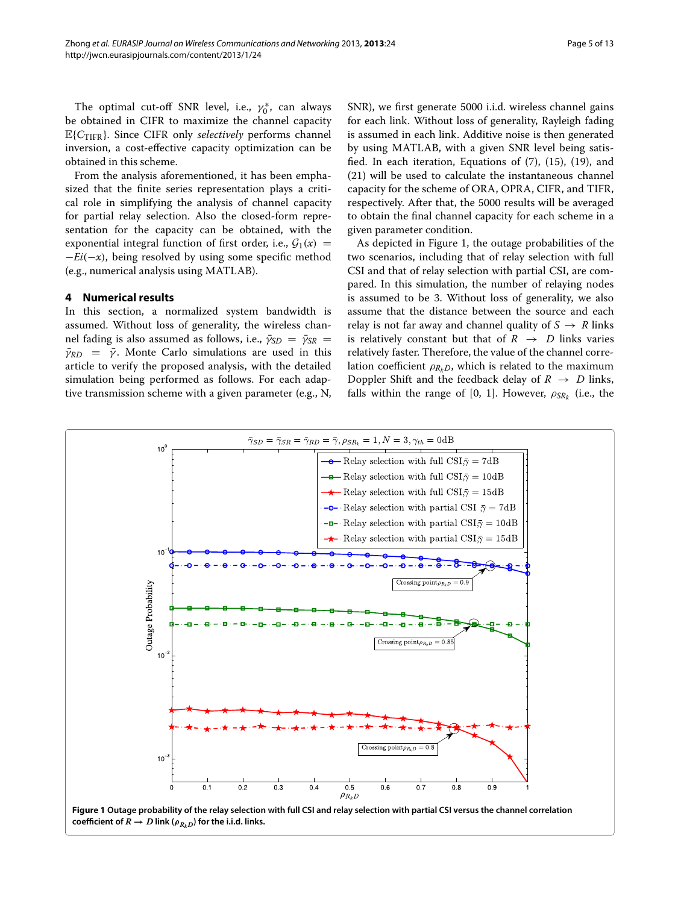The optimal cut-off SNR level, i.e.,  $\gamma_0^*$ , can always be obtained in CIFR to maximize the channel capacity <sup>E</sup>{*C*TIFR}. Since CIFR only *selectively* performs channel inversion, a cost-effective capacity optimization can be obtained in this scheme.

From the analysis aforementioned, it has been emphasized that the finite series representation plays a critical role in simplifying the analysis of channel capacity for partial relay selection. Also the closed-form representation for the capacity can be obtained, with the exponential integral function of first order, i.e.,  $G_1(x)$  = <sup>−</sup>*Ei*(−*x*), being resolved by using some specific method (e.g., numerical analysis using MATLAB).

#### <span id="page-4-0"></span>**4 Numerical results**

In this section, a normalized system bandwidth is assumed. Without loss of generality, the wireless channel fading is also assumed as follows, i.e.,  $\bar{\gamma}_{SD} = \bar{\gamma}_{SR} =$  $\bar{\gamma}_{RD}$  =  $\bar{\gamma}$ . Monte Carlo simulations are used in this article to verify the proposed analysis, with the detailed simulation being performed as follows. For each adaptive transmission scheme with a given parameter (e.g., N, SNR), we first generate 5000 i.i.d. wireless channel gains for each link. Without loss of generality, Rayleigh fading is assumed in each link. Additive noise is then generated by using MATLAB, with a given SNR level being satisfied. In each iteration, Equations of [\(7\)](#page-2-6), [\(15\)](#page-3-1), [\(19\)](#page-3-5), and [\(21\)](#page-3-6) will be used to calculate the instantaneous channel capacity for the scheme of ORA, OPRA, CIFR, and TIFR, respectively. After that, the 5000 results will be averaged to obtain the final channel capacity for each scheme in a given parameter condition.

As depicted in Figure [1,](#page-4-1) the outage probabilities of the two scenarios, including that of relay selection with full CSI and that of relay selection with partial CSI, are compared. In this simulation, the number of relaying nodes is assumed to be 3. Without loss of generality, we also assume that the distance between the source and each relay is not far away and channel quality of  $S \rightarrow R$  links is relatively constant but that of  $R \rightarrow D$  links varies relatively faster. Therefore, the value of the channel correlation coefficient  $\rho_{RkD}$ , which is related to the maximum Doppler Shift and the feedback delay of  $R \rightarrow D$  links, falls within the range of [0, 1]. However,  $\rho_{SR_k}$  (i.e., the



<span id="page-4-1"></span>**coefficient of**  $R \to D$  link ( $\rho_{R,D}$ ) for the i.i.d. links.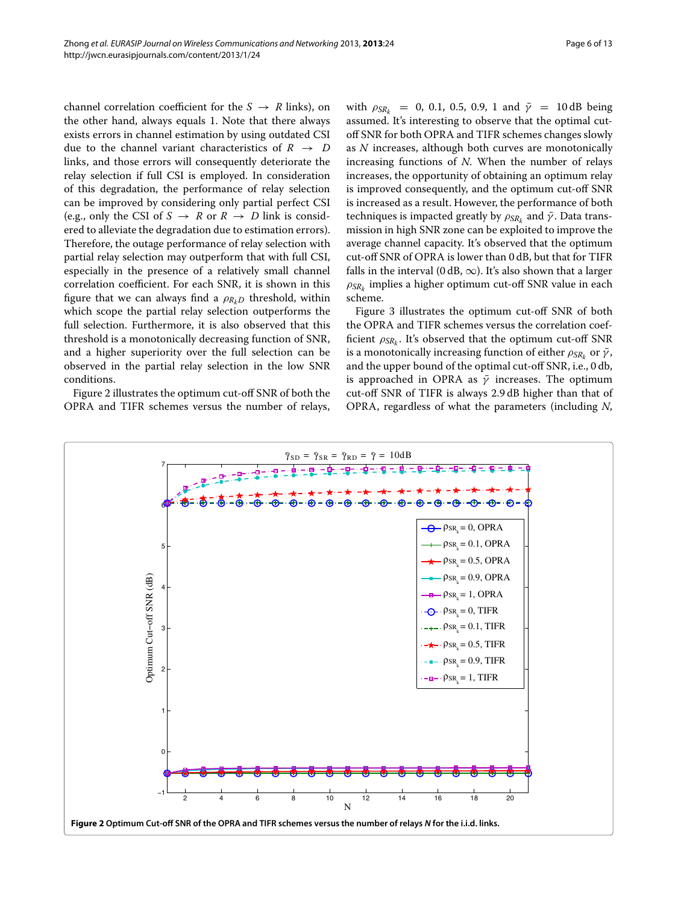channel correlation coefficient for the  $S \rightarrow R$  links), on the other hand, always equals 1. Note that there always exists errors in channel estimation by using outdated CSI due to the channel variant characteristics of  $R \rightarrow D$ links, and those errors will consequently deteriorate the relay selection if full CSI is employed. In consideration of this degradation, the performance of relay selection can be improved by considering only partial perfect CSI (e.g., only the CSI of  $S \rightarrow R$  or  $R \rightarrow D$  link is considered to alleviate the degradation due to estimation errors). Therefore, the outage performance of relay selection with partial relay selection may outperform that with full CSI, especially in the presence of a relatively small channel correlation coefficient. For each SNR, it is shown in this figure that we can always find a  $\rho_{Rb}$  threshold, within which scope the partial relay selection outperforms the full selection. Furthermore, it is also observed that this threshold is a monotonically decreasing function of SNR, and a higher superiority over the full selection can be observed in the partial relay selection in the low SNR conditions.

Figure [2](#page-5-0) illustrates the optimum cut-off SNR of both the OPRA and TIFR schemes versus the number of relays,

with  $\rho_{SR_k}$  = 0, 0.1, 0.5, 0.9, 1 and  $\bar{\gamma}$  = 10 dB being assumed. It's interesting to observe that the optimal cutoff SNR for both OPRA and TIFR schemes changes slowly as *N* increases, although both curves are monotonically increasing functions of *N*. When the number of relays increases, the opportunity of obtaining an optimum relay is improved consequently, and the optimum cut-off SNR is increased as a result. However, the performance of both techniques is impacted greatly by  $\rho_{SR_k}$  and  $\bar{\gamma}$ . Data transmission in high SNR zone can be exploited to improve the average channel capacity. It's observed that the optimum cut-off SNR of OPRA is lower than 0 dB, but that for TIFR falls in the interval (0 dB,  $\infty$ ). It's also shown that a larger ρ*SRk* implies a higher optimum cut-off SNR value in each scheme.

Figure [3](#page-6-0) illustrates the optimum cut-off SNR of both the OPRA and TIFR schemes versus the correlation coefficient  $\rho_{SR_k}$ . It's observed that the optimum cut-off SNR is a monotonically increasing function of either  $\rho_{SR_k}$  or  $\bar{\gamma}$ , and the upper bound of the optimal cut-off SNR, i.e., 0 db, is approached in OPRA as  $\bar{\gamma}$  increases. The optimum cut-off SNR of TIFR is always 2.9 dB higher than that of OPRA, regardless of what the parameters (including *N*,

<span id="page-5-0"></span>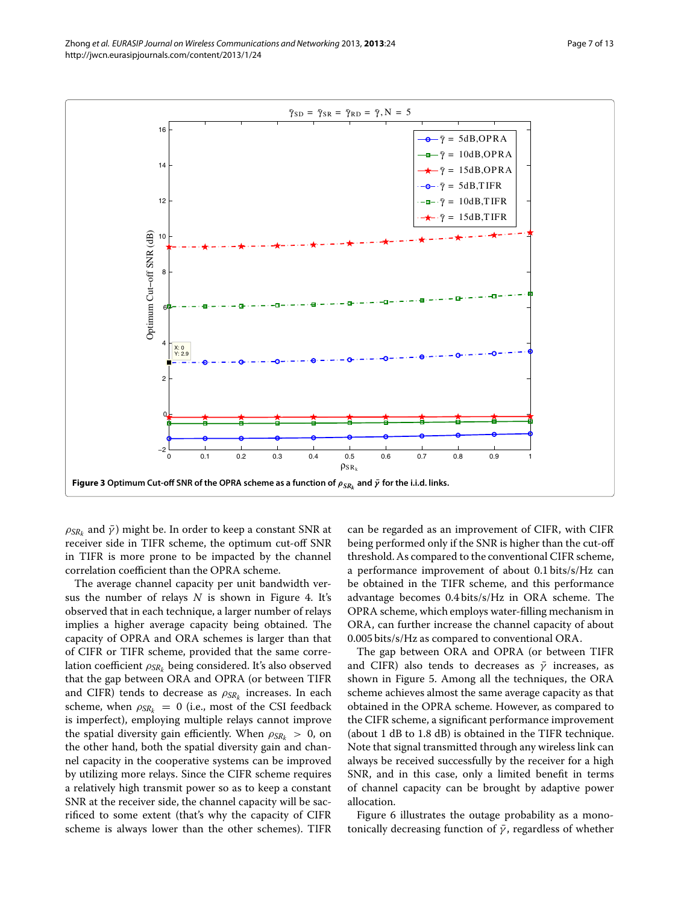

<span id="page-6-0"></span> $\rho_{SRk}$  and  $\bar{\gamma}$ ) might be. In order to keep a constant SNR at receiver side in TIFR scheme, the optimum cut-off SNR in TIFR is more prone to be impacted by the channel correlation coefficient than the OPRA scheme.

The average channel capacity per unit bandwidth versus the number of relays *N* is shown in Figure [4.](#page-7-1) It's observed that in each technique, a larger number of relays implies a higher average capacity being obtained. The capacity of OPRA and ORA schemes is larger than that of CIFR or TIFR scheme, provided that the same correlation coefficient ρ*SRk* being considered. It's also observed that the gap between ORA and OPRA (or between TIFR and CIFR) tends to decrease as ρ*SRk* increases. In each scheme, when  $\rho_{SR_k} = 0$  (i.e., most of the CSI feedback is imperfect), employing multiple relays cannot improve the spatial diversity gain efficiently. When  $\rho_{SR_k} > 0$ , on the other hand, both the spatial diversity gain and channel capacity in the cooperative systems can be improved by utilizing more relays. Since the CIFR scheme requires a relatively high transmit power so as to keep a constant SNR at the receiver side, the channel capacity will be sacrificed to some extent (that's why the capacity of CIFR scheme is always lower than the other schemes). TIFR

can be regarded as an improvement of CIFR, with CIFR being performed only if the SNR is higher than the cut-off threshold. As compared to the conventional CIFR scheme, a performance improvement of about 0.1 bits/s/Hz can be obtained in the TIFR scheme, and this performance advantage becomes 0.4 bits/s/Hz in ORA scheme. The OPRA scheme, which employs water-filling mechanism in ORA, can further increase the channel capacity of about 0.005 bits/s/Hz as compared to conventional ORA.

The gap between ORA and OPRA (or between TIFR and CIFR) also tends to decreases as  $\bar{y}$  increases, as shown in Figure [5.](#page-8-0) Among all the techniques, the ORA scheme achieves almost the same average capacity as that obtained in the OPRA scheme. However, as compared to the CIFR scheme, a significant performance improvement (about 1 dB to 1.8 dB) is obtained in the TIFR technique. Note that signal transmitted through any wireless link can always be received successfully by the receiver for a high SNR, and in this case, only a limited benefit in terms of channel capacity can be brought by adaptive power allocation.

Figure [6](#page-8-1) illustrates the outage probability as a monotonically decreasing function of  $\bar{\gamma}$ , regardless of whether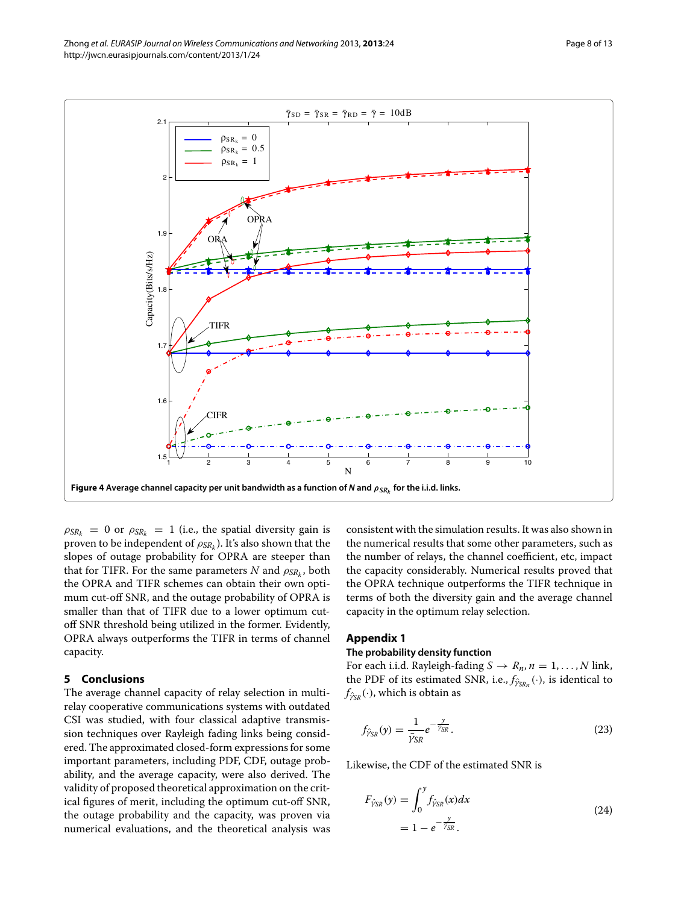

<span id="page-7-1"></span> $\rho_{SR_k}$  = 0 or  $\rho_{SR_k}$  = 1 (i.e., the spatial diversity gain is proven to be independent of  $\rho_{SR_k}$ ). It's also shown that the slopes of outage probability for OPRA are steeper than that for TIFR. For the same parameters *N* and  $\rho_{SR_k}$ , both the OPRA and TIFR schemes can obtain their own optimum cut-off SNR, and the outage probability of OPRA is smaller than that of TIFR due to a lower optimum cutoff SNR threshold being utilized in the former. Evidently, OPRA always outperforms the TIFR in terms of channel capacity.

## <span id="page-7-0"></span>**5 Conclusions**

The average channel capacity of relay selection in multirelay cooperative communications systems with outdated CSI was studied, with four classical adaptive transmission techniques over Rayleigh fading links being considered. The approximated closed-form expressions for some important parameters, including PDF, CDF, outage probability, and the average capacity, were also derived. The validity of proposed theoretical approximation on the critical figures of merit, including the optimum cut-off SNR, the outage probability and the capacity, was proven via numerical evaluations, and the theoretical analysis was

consistent with the simulation results. It was also shown in the numerical results that some other parameters, such as the number of relays, the channel coefficient, etc, impact the capacity considerably. Numerical results proved that the OPRA technique outperforms the TIFR technique in terms of both the diversity gain and the average channel capacity in the optimum relay selection.

#### **Appendix 1**

#### **The probability density function**

For each i.i.d. Rayleigh-fading  $S \rightarrow R_n$ ,  $n = 1, ..., N$  link, the PDF of its estimated SNR, i.e., *f*<sub>ŷ<sup>*SRn</sub>*</sup> (⋅), is identical to</sub>  $f_{\hat{\gamma}_{SR}}(\cdot)$ , which is obtain as

<span id="page-7-2"></span>
$$
f_{\hat{\gamma}_{SR}}(y) = \frac{1}{\bar{\gamma}_{SR}} e^{-\frac{y}{\bar{\gamma}_{SR}}}.
$$
 (23)

Likewise, the CDF of the estimated SNR is

$$
F_{\hat{\gamma}_{SR}}(y) = \int_0^y f_{\hat{\gamma}_{SR}}(x) dx
$$
  
= 1 - e<sup>- $\frac{y}{\hat{\gamma}_{SR}}$</sup> . (24)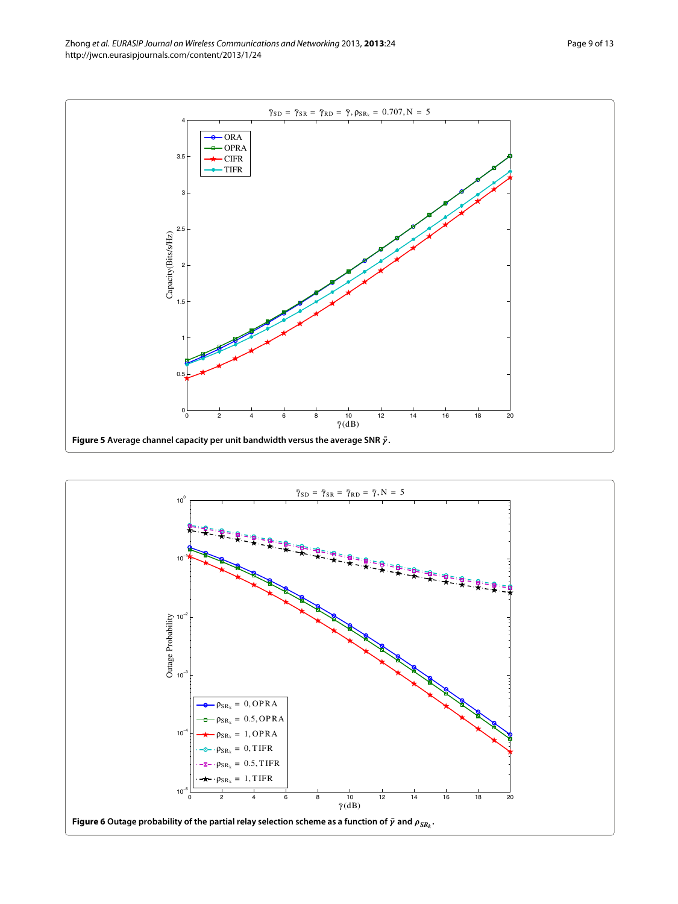

<span id="page-8-1"></span><span id="page-8-0"></span>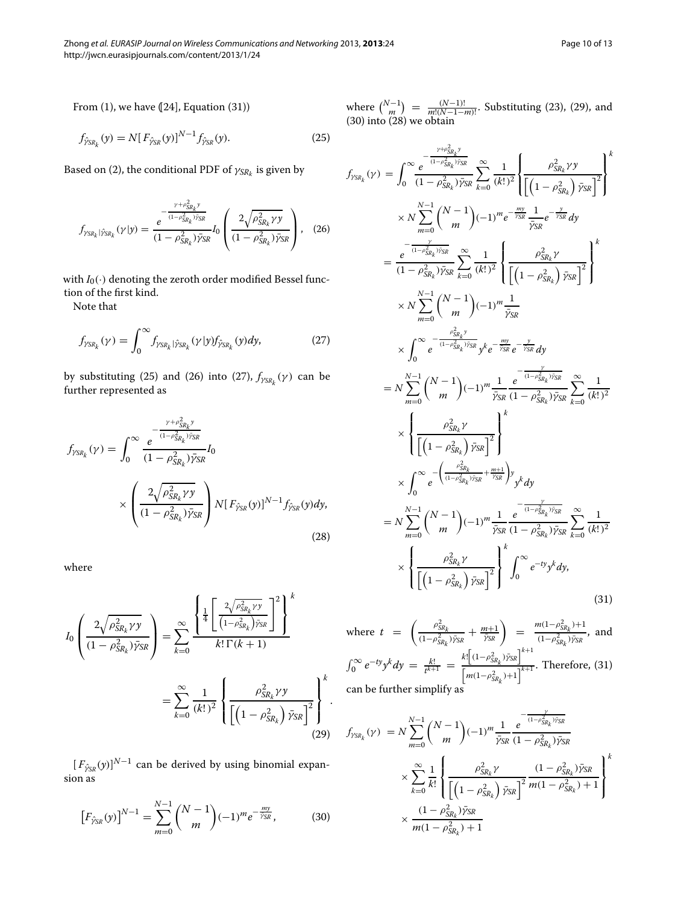From  $(1)$ , we have  $(24]$ , Equation  $(31)$ )

$$
f_{\hat{\gamma}_{SR_k}}(y) = N[F_{\hat{\gamma}_{SR}}(y)]^{N-1} f_{\hat{\gamma}_{SR}}(y).
$$
 (25)

Based on [\(2\)](#page-2-7), the conditional PDF of  $\gamma_{SR_k}$  is given by

$$
f_{\gamma_{SR_k}|\hat{\gamma}_{SR_k}}(\gamma|y) = \frac{e^{-\frac{\gamma + \rho_{SR_k}^2 y}{(1 - \rho_{SR_k}^2)\tilde{\gamma}_{SR}}} - I_0 \left(\frac{2\sqrt{\rho_{SR_k}^2 \gamma y}}{(1 - \rho_{SR_k}^2)\tilde{\gamma}_{SR}}\right), (26)
$$

with  $I_0(\cdot)$  denoting the zeroth order modified Bessel function of the first kind.

<span id="page-9-2"></span>Note that

<span id="page-9-5"></span>
$$
f_{\gamma_{SR_k}}(\gamma) = \int_0^\infty f_{\gamma_{SR_k}|\hat{\gamma}_{SR_k}}(\gamma|\gamma) f_{\hat{\gamma}_{SR_k}}(\gamma) d\gamma, \tag{27}
$$

by substituting [\(25\)](#page-9-0) and [\(26\)](#page-9-1) into [\(27\)](#page-9-2),  $f_{\gamma_{SR_k}}(\gamma)$  can be further represented as

$$
f_{\gamma_{SR_k}}(\gamma) = \int_0^\infty \frac{e^{-\frac{\gamma + \rho_{SR_k}^2 \gamma}{(1 - \rho_{SR_k}^2)\bar{\gamma}_{SR}}}}{(1 - \rho_{SR_k}^2)\bar{\gamma}_{SR}} I_0
$$

$$
\times \left(\frac{2\sqrt{\rho_{SR_k}^2 \gamma y}}{(1 - \rho_{SR_k}^2)\bar{\gamma}_{SR}}\right) N[F_{\hat{\gamma}_{SR}}(y)]^{N-1} f_{\hat{\gamma}_{SR}}(y) dy,
$$
(28)

<span id="page-9-3"></span>where

$$
I_0 \left( \frac{2\sqrt{\rho_{SR_k}^2 \gamma y}}{(1 - \rho_{SR_k}^2)\bar{y}_{SR}} \right) = \sum_{k=0}^{\infty} \frac{\left\{ \frac{1}{4} \left[ \frac{2\sqrt{\rho_{SR_k}^2 \gamma y}}{(1 - \rho_{SR_k}^2)\bar{y}_{SR}} \right]^2 \right\}^k}{k! \Gamma(k+1)}
$$

$$
= \sum_{k=0}^{\infty} \frac{1}{(k!)^2} \left\{ \frac{\rho_{SR_k}^2 \gamma y}{\left[ \left( 1 - \rho_{SR_k}^2 \right) \bar{y}_{SR} \right]^2} \right\}^k.
$$
(29)

 $[F_{\hat{y}_{SR}}(y)]^{N-1}$  can be derived by using binomial expansion as

<span id="page-9-4"></span>
$$
\left[F_{\hat{\gamma}_{SR}}(y)\right]^{N-1} = \sum_{m=0}^{N-1} {N-1 \choose m} (-1)^m e^{-\frac{my}{\hat{\gamma}_{SR}}},\tag{30}
$$

<span id="page-9-6"></span><span id="page-9-0"></span>where  $\binom{N-1}{m} = \frac{(N-1)!}{m!(N-1-m)!}$ . Substituting [\(23\)](#page-7-2), [\(29\)](#page-9-3), and [\(30\)](#page-9-4) into [\(28\)](#page-9-5) we obtain

<span id="page-9-1"></span>
$$
f_{\gamma SR_{k}}(\gamma) = \int_{0}^{\infty} \frac{e^{-\frac{\gamma + \gamma_{SR_{k}}^{2} y}{(1 - \rho_{SR_{k}}^{2}) \bar{\gamma}_{SR}}} \left[\frac{\gamma}{k!} \right] \left[\frac{\rho_{SR_{k}}^{2} \gamma y}{\left[(1 - \rho_{SR_{k}}^{2}) \bar{\gamma}_{SR} \right]^{2}}\right]^{k}
$$
  
\n
$$
\times N \sum_{m=0}^{N-1} {N-1 \choose m} (-1)^{m} e^{-\frac{my}{\bar{\gamma}_{SR}}} \frac{1}{\bar{\gamma}_{SR}} e^{-\frac{\gamma}{\bar{\gamma}_{SR}}} dy
$$
  
\n
$$
= \frac{e^{-\frac{\gamma}{(1 - \rho_{SR_{k}}^{2}) \bar{\gamma}_{SR}}} \left[\frac{\gamma}{k!} \frac{1}{\left[(1 - \rho_{SR_{k}}^{2}) \bar{\gamma}_{SR} \right]^{2}}\right]^{k}}{\left[(1 - \rho_{SR_{k}}^{2}) \bar{\gamma}_{SR} \right]^{2}} \times N \sum_{m=0}^{N-1} {N-1 \choose m} (-1)^{m} \frac{1}{\bar{\gamma}_{SR}}
$$
  
\n
$$
\times \int_{0}^{\infty} e^{-\frac{\rho_{SR_{k}}^{2} y}{(1 - \rho_{SR_{k}}^{2}) \bar{\gamma}_{SR}}} y^{k} e^{-\frac{my}{\bar{\gamma}_{SR}}} e^{-\frac{y}{\bar{\gamma}_{SR}}} dy
$$
  
\n
$$
= N \sum_{m=0}^{N-1} {N-1 \choose m} (-1)^{m} \frac{1}{\bar{\gamma}_{SR}} e^{-\frac{y}{\bar{\gamma}_{SR}}} dy
$$
  
\n
$$
\times \left\{\frac{\rho_{SR_{k}}^{2} \gamma}{\left[(1 - \rho_{SR_{k}}^{2}) \bar{\gamma}_{SR} \right]^{2}}\right\}^{k}
$$
  
\n
$$
\times \left\{\frac{\rho_{SR_{k}}^{2} \gamma}{\left[(1 - \rho_{SR_{k}}^{2}) \bar{\gamma}_{SR} \right]^{2}}\right\}^{k}
$$
  
\n
$$
\times \int_{0}^{\infty} e^{-\left(\frac{\rho_{SR_{k}}^{2} y}{(1 - \rho_{SR_{k}}^{2}) \bar{\gamma}_{SR} + \frac{m+1}{\bar{\gamma}_{SR}}} y} y^{k} dy
$$
  
\n
$$
= N \sum_{m
$$

where 
$$
t = \left(\frac{\rho_{SR_k}^2}{(1-\rho_{SR_k}^2)\bar{y}_{SR}} + \frac{m+1}{\bar{y}_{SR}}\right) = \frac{m(1-\rho_{SR_k}^2)+1}{(1-\rho_{SR_k}^2)\bar{y}_{SR}}
$$
, and  
\n
$$
\int_0^\infty e^{-ty} y^k dy = \frac{k!}{t^{k+1}} = \frac{k! \left[(1-\rho_{SR_k}^2)\bar{y}_{SR}\right]^{k+1}}{\left[m(1-\rho_{SR_k}^2)+1\right]^{k+1}}
$$
. Therefore, (31)  
\ncan be further simplify as

$$
f_{\gamma_{SR_k}}(\gamma) = N \sum_{m=0}^{N-1} {N-1 \choose m} (-1)^m \frac{1}{\bar{\gamma}_{SR}} \frac{e^{-\frac{\gamma}{(1-\rho_{SR_k}^2)\bar{\gamma}_{SR}}}}{(1-\rho_{SR_k}^2)\bar{\gamma}_{SR}}
$$
  

$$
\times \sum_{k=0}^{\infty} \frac{1}{k!} \left\{ \frac{\rho_{SR_k}^2 \gamma}{\left[ \left(1-\rho_{SR_k}^2\right) \bar{\gamma}_{SR} \right]^2} \frac{(1-\rho_{SR_k}^2)\bar{\gamma}_{SR}}{m(1-\rho_{SR_k}^2) + 1} \right\}^k
$$
  

$$
\times \frac{(1-\rho_{SR_k}^2)\bar{\gamma}_{SR}}{m(1-\rho_{SR_k}^2) + 1}
$$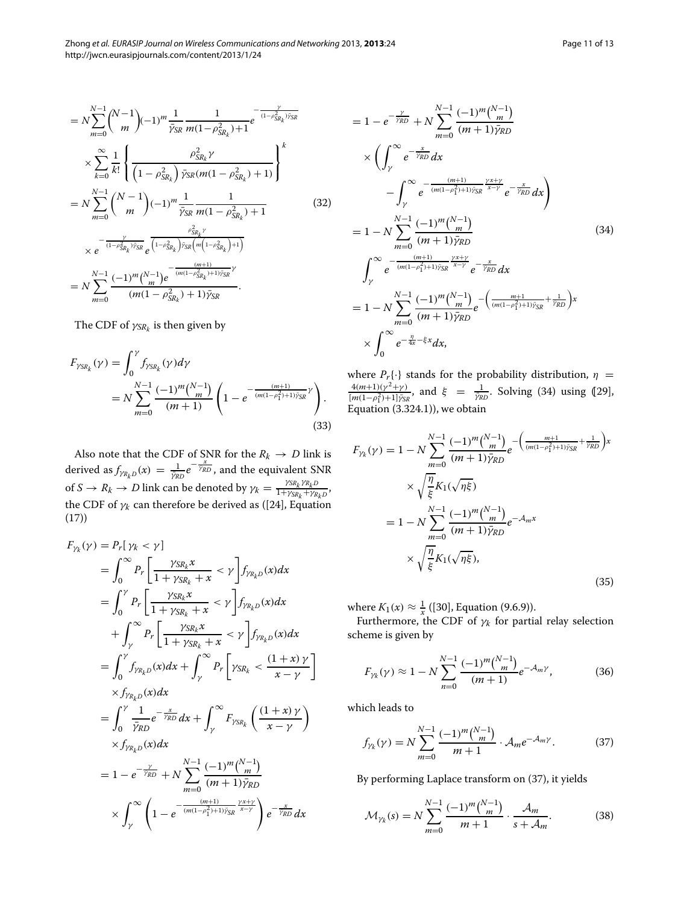$$
= N \sum_{m=0}^{N-1} {N-1 \choose m} (-1)^m \frac{1}{\bar{\gamma}_{SR}} \frac{1}{m(1-\rho_{SR_k}^2) + 1} e^{-\frac{\gamma}{(1-\rho_{SR_k}^2)\bar{\gamma}_{SR}}} \times \sum_{k=0}^{\infty} \frac{1}{k!} \left\{ \frac{\rho_{SR_k}^2 \gamma}{\left(1-\rho_{SR_k}^2\right) \bar{\gamma}_{SR}(m(1-\rho_{SR_k}^2) + 1)}\right\}^k = N \sum_{m=0}^{N-1} {N-1 \choose m} (-1)^m \frac{1}{\bar{\gamma}_{SR}} \frac{1}{m(1-\rho_{SR_k}^2) + 1} \times e^{-\frac{\rho_{SR_k}^2 \gamma}{(1-\rho_{SR_k}^2)\bar{\gamma}_{SR}} e^{\frac{\rho_{SR_k}^2 \gamma}{\left(1-\rho_{SR_k}^2\right) \bar{\gamma}_{SR}\left(m\left(1-\rho_{SR_k}^2\right) + 1\right)}} \times N \sum_{m=0}^{N-1} \frac{(-1)^m {N-1 \choose m} e^{-\frac{(m+1)}{(m(1-\rho_{SR_k}^2) + 1)\bar{\gamma}_{SR}}}}{(m(1-\rho_{SR_k}^2) + 1)\bar{\gamma}_{SR}}.
$$

The CDF of  $\gamma_{SR_k}$  is then given by

$$
F_{\gamma_{SR_k}}(\gamma) = \int_0^{\gamma} f_{\gamma_{SR_k}}(\gamma) d\gamma
$$
  
=  $N \sum_{m=0}^{N-1} \frac{(-1)^m \binom{N-1}{m}}{(m+1)} \left( 1 - e^{-\frac{(m+1)}{(m(1-\rho_1^2)+1)\bar{\gamma}_{SR}}\gamma} \right).$  (33)

Also note that the CDF of SNR for the  $R_k \to D$  link is derived as  $f_{\gamma R_k D}(x) = \frac{1}{\bar{\gamma_R}D} e^{-\frac{x}{\bar{\gamma_R}D}}$ , and the equivalent SNR of  $S \to R_k \to D$  link can be denoted by  $\gamma_k = \frac{\gamma_{SR_k} \gamma_{R_k D}}{1 + \gamma_{SR_k} + \gamma_{R_k D}}$ , the CDF of  $\gamma_k$  can therefore be derived as ([\[24\]](#page-12-9), Equation (17))

$$
F_{\gamma_k}(\gamma) = P_r[\gamma_k < \gamma]
$$
\n
$$
= \int_0^\infty P_r \left[ \frac{\gamma_{SR_k} x}{1 + \gamma_{SR_k} + x} < \gamma \right] f_{\gamma_{R_k}D}(x) dx
$$
\n
$$
= \int_0^\gamma P_r \left[ \frac{\gamma_{SR_k} x}{1 + \gamma_{SR_k} + x} < \gamma \right] f_{\gamma_{R_k}D}(x) dx
$$
\n
$$
+ \int_\gamma^\infty P_r \left[ \frac{\gamma_{SR_k} x}{1 + \gamma_{SR_k} + x} < \gamma \right] f_{\gamma_{R_k}D}(x) dx
$$
\n
$$
= \int_0^\gamma f_{\gamma_{R_k}D}(x) dx + \int_\gamma^\infty P_r \left[ \gamma_{SR_k} < \frac{(1 + x)\gamma}{x - \gamma} \right]
$$
\n
$$
\times f_{\gamma_{R_k}D}(x) dx
$$
\n
$$
= \int_0^\gamma \frac{1}{\gamma_{RD}} e^{-\frac{x}{\gamma_{RD}}} dx + \int_\gamma^\infty F_{\gamma_{SR_k}} \left( \frac{(1 + x)\gamma}{x - \gamma} \right)
$$
\n
$$
\times f_{\gamma_{R_k}D}(x) dx
$$
\n
$$
= 1 - e^{-\frac{\gamma}{\gamma_{RD}}} + N \sum_{m=0}^{N-1} \frac{(-1)^m \binom{N-1}{m}}{(m+1)\bar{\gamma}_{RD}}
$$
\n
$$
\times \int_\gamma^\infty \left( 1 - e^{-\frac{(m+1)}{(m(1-\rho_1^2)+1)\bar{\gamma}_{SR}} \frac{\gamma_{X} + \gamma}{x - \gamma}} \right) e^{-\frac{x}{\gamma_{RD}}} dx
$$

<span id="page-10-0"></span>
$$
= 1 - e^{-\frac{\gamma}{\gamma_{RD}}} + N \sum_{m=0}^{N-1} \frac{(-1)^m \binom{N-1}{m}}{(m+1)\bar{\gamma}_{RD}}
$$
  
\n
$$
\times \left( \int_{\gamma}^{\infty} e^{-\frac{x}{\gamma_{RD}}} dx - \int_{\gamma}^{\infty} e^{-\frac{(m+1)}{(m(1-\rho_1^2)+1)\bar{\gamma}_{SR}} \frac{\gamma x + \gamma}{x-\gamma}} e^{-\frac{x}{\bar{\gamma}_{RD}}} dx \right)
$$
  
\n
$$
= 1 - N \sum_{m=0}^{N-1} \frac{(-1)^m \binom{N-1}{m}}{(m+1)\bar{\gamma}_{RD}}
$$
  
\n
$$
\int_{\gamma}^{\infty} e^{-\frac{(m+1)}{(m(1-\rho_1^2)+1)\bar{\gamma}_{SR}} \frac{\gamma x + \gamma}{x-\gamma}} e^{-\frac{x}{\bar{\gamma}_{RD}}} dx
$$
  
\n
$$
= 1 - N \sum_{m=0}^{N-1} \frac{(-1)^m \binom{N-1}{m}}{(m+1)\bar{\gamma}_{RD}} e^{-\left(\frac{m+1}{(m(1-\rho_1^2)+1)\bar{\gamma}_{SR}} + \frac{1}{\bar{\gamma}_{RD}}\right)x}
$$
  
\n
$$
\times \int_{0}^{\infty} e^{-\frac{n}{4x} - \xi x} dx,
$$
 (34)

where  $P_r\{\cdot\}$  stands for the probability distribution,  $\eta$  =  $4(m+1)(\gamma^2+\gamma)$  $\frac{4(m+1)(\gamma^2 + \gamma)}{[m(1-\rho_1^2)+1]\gamma_{SR}}$ , and  $\xi = \frac{1}{\bar{\gamma}_{RD}}$ . Solving [\(34\)](#page-10-0) using (29), Equation (3.324.1)), we obtain

$$
F_{\gamma_k}(\gamma) = 1 - N \sum_{m=0}^{N-1} \frac{(-1)^m \binom{N-1}{m}}{(m+1)\bar{\gamma}_{RD}} e^{-\left(\frac{m+1}{(m(1-\rho_1^2)+1)\bar{\gamma}_{SR}} + \frac{1}{\bar{\gamma}_{RD}}\right)x}
$$
  

$$
\times \sqrt{\frac{\eta}{\xi}} K_1(\sqrt{\eta \xi})
$$
  

$$
= 1 - N \sum_{m=0}^{N-1} \frac{(-1)^m \binom{N-1}{m}}{(m+1)\bar{\gamma}_{RD}} e^{-\mathcal{A}_m x}
$$
  

$$
\times \sqrt{\frac{\eta}{\xi}} K_1(\sqrt{\eta \xi}), \tag{35}
$$

where  $K_1(x) \approx \frac{1}{x}$  ([\[30\]](#page-12-15), Equation (9.6.9)).

Furthermore, the CDF of  $\gamma_k$  for partial relay selection scheme is given by

$$
F_{\gamma_k}(\gamma) \approx 1 - N \sum_{n=0}^{N-1} \frac{(-1)^m \binom{N-1}{m}}{(m+1)} e^{-\mathcal{A}_m \gamma},\tag{36}
$$

which leads to

<span id="page-10-1"></span>
$$
f_{\gamma_k}(\gamma) = N \sum_{m=0}^{N-1} \frac{(-1)^m \binom{N-1}{m}}{m+1} \cdot \mathcal{A}_m e^{-\mathcal{A}_m \gamma}.
$$
 (37)

By performing Laplace transform on [\(37\)](#page-10-1), it yields

<span id="page-10-2"></span>
$$
\mathcal{M}_{\gamma_k}(s) = N \sum_{m=0}^{N-1} \frac{(-1)^m \binom{N-1}{m}}{m+1} \cdot \frac{\mathcal{A}_m}{s + \mathcal{A}_m}.\tag{38}
$$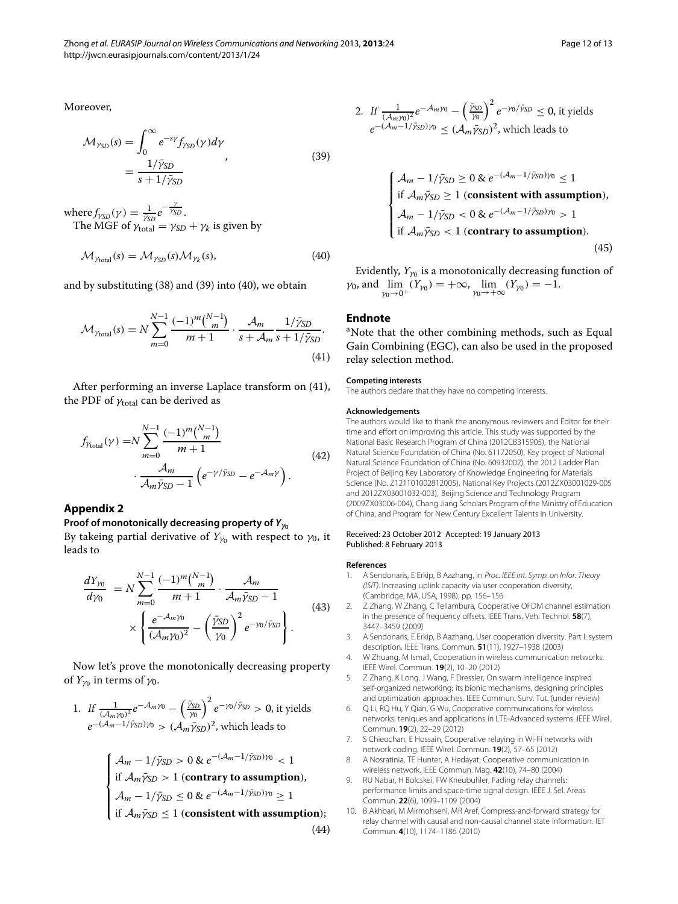<span id="page-11-7"></span>
$$
\mathcal{M}_{\gamma_{SD}}(s) = \int_0^\infty e^{-sy} f_{\gamma_{SD}}(\gamma) d\gamma
$$
  
= 
$$
\frac{1/\bar{\gamma}_{SD}}{s + 1/\bar{\gamma}_{SD}}
$$
 (39)

where  $f_{\gamma_{SD}}(\gamma) = \frac{1}{\bar{\gamma}_{SD}} e^{-\frac{\gamma}{\bar{\gamma}_{SD}}}$ . The MGF of  $\gamma_{\text{total}} = \gamma_{SD} + \gamma_k$  is given by

$$
\mathcal{M}_{\gamma_{\text{total}}}(s) = \mathcal{M}_{\gamma_{\text{SD}}}(s) \mathcal{M}_{\gamma_k}(s),\tag{40}
$$

and by substituting [\(38\)](#page-10-2) and [\(39\)](#page-11-7) into [\(40\)](#page-11-8), we obtain

$$
\mathcal{M}_{\gamma_{\text{total}}}(s) = N \sum_{m=0}^{N-1} \frac{(-1)^m \binom{N-1}{m}}{m+1} \cdot \frac{\mathcal{A}_m}{s + \mathcal{A}_m} \frac{1/\bar{\gamma}_{SD}}{s + 1/\bar{\gamma}_{SD}}.
$$
\n(41)

After performing an inverse Laplace transform on [\(41\)](#page-11-9), the PDF of  $\gamma_{\text{total}}$  can be derived as

$$
f_{\gamma_{\text{total}}}(\gamma) = N \sum_{m=0}^{N-1} \frac{(-1)^m \binom{N-1}{m}}{m+1} \cdot \frac{A_m}{\mathcal{A}_m \bar{\gamma}_{\text{SD}} - 1} \left( e^{-\gamma / \bar{\gamma}_{\text{SD}}} - e^{-\mathcal{A}_m \gamma} \right). \tag{42}
$$

#### **Appendix 2**

### **Proof of monotonically decreasing property of**  $Y_{\gamma_0}$

By takeing partial derivative of  $Y_{\gamma_0}$  with respect to  $\gamma_0$ , it leads to

$$
\frac{dY_{\gamma_0}}{dy_0} = N \sum_{m=0}^{N-1} \frac{(-1)^m \binom{N-1}{m}}{m+1} \cdot \frac{\mathcal{A}_m}{\mathcal{A}_m \bar{\gamma}_{SD} - 1} \times \left\{ \frac{e^{-\mathcal{A}_m \gamma_0}}{(\mathcal{A}_m \gamma_0)^2} - \left( \frac{\bar{\gamma}_{SD}}{\gamma_0} \right)^2 e^{-\gamma_0 / \bar{\gamma}_{SD}} \right\}.
$$
\n(43)

Now let's prove the monotonically decreasing property of  $Y_{\gamma_0}$  in terms of  $\gamma_0$ .

1. If 
$$
\frac{1}{(\mathcal{A}_m \gamma_0)^2} e^{-\mathcal{A}_m \gamma_0} - \left(\frac{\bar{\gamma}_{SD}}{\gamma_0}\right)^2 e^{-\gamma_0/\bar{\gamma}_{SD}} > 0
$$
, it yields  $e^{-(\mathcal{A}_m - 1/\bar{\gamma}_{SD})\gamma_0} > (\mathcal{A}_m \bar{\gamma}_{SD})^2$ , which leads to

$$
\begin{cases}\n\mathcal{A}_m - 1/\bar{\gamma}_{SD} > 0 \& e^{-(\mathcal{A}_m - 1/\bar{\gamma}_{SD})\gamma_0} < 1 \\
\text{if } \mathcal{A}_m \bar{\gamma}_{SD} > 1 \text{ (contrary to assumption)}, \\
\mathcal{A}_m - 1/\bar{\gamma}_{SD} \leq 0 \& e^{-(\mathcal{A}_m - 1/\bar{\gamma}_{SD})\gamma_0} \geq 1 \\
\text{if } \mathcal{A}_m \bar{\gamma}_{SD} \leq 1 \text{ (consistent with assumption)};\n\end{cases}
$$
\n(44)

2. If 
$$
\frac{1}{(A_m \gamma_0)^2} e^{-A_m \gamma_0} - \left(\frac{\bar{\gamma}_{SD}}{\gamma_0}\right)^2 e^{-\gamma_0/\bar{\gamma}_{SD}} \le 0
$$
, it yields 
$$
e^{-(A_m - 1/\bar{\gamma}_{SD})\gamma_0} \le (A_m \bar{\gamma}_{SD})^2
$$
, which leads to

$$
\begin{cases}\n\mathcal{A}_m - 1/\bar{\gamma}_{SD} \ge 0 & \text{if } e^{-(\mathcal{A}_m - 1/\bar{\gamma}_{SD})\gamma_0} \le 1 \\
\text{if } \mathcal{A}_m \bar{\gamma}_{SD} \ge 1 \text{ (consistent with assumption)}, \\
\mathcal{A}_m - 1/\bar{\gamma}_{SD} < 0 & \text{if } e^{-(\mathcal{A}_m - 1/\bar{\gamma}_{SD})\gamma_0} > 1 \\
\text{if } \mathcal{A}_m \bar{\gamma}_{SD} < 1 \text{ (contrary to assumption)}. \n\end{cases} \tag{45}
$$

<span id="page-11-9"></span><span id="page-11-8"></span>Evidently,  $Y_{\gamma_0}$  is a monotonically decreasing function of  $\gamma_0$ , and  $\lim_{\gamma_0 \to 0^+} (Y_{\gamma_0}) = +\infty$ ,  $\lim_{\gamma_0 \to +\infty} (Y_{\gamma_0}) = -1$ .

#### **Endnote**

<sup>a</sup>Note that the other combining methods, such as Equal Gain Combining (EGC), can also be used in the proposed relay selection method.

#### **Competing interests**

The authors declare that they have no competing interests.

#### **Acknowledgements**

The authors would like to thank the anonymous reviewers and Editor for their time and effort on improving this article. This study was supported by the National Basic Research Program of China (2012CB315905), the National Natural Science Foundation of China (No. 61172050), Key project of National Natural Science Foundation of China (No. 60932002), the 2012 Ladder Plan Project of Beijing Key Laboratory of Knowledge Engineering for Materials Science (No. Z121101002812005), National Key Projects (2012ZX03001029-005 and 2012ZX03001032-003), Beijing Science and Technology Program (2009ZX03006-004), Chang Jiang Scholars Program of the Ministry of Education of China, and Program for New Century Excellent Talents in University.

#### Received: 23 October 2012 Accepted: 19 January 2013 Published: 8 February 2013

#### **References**

- <span id="page-11-0"></span>1. A Sendonaris, E Erkip, B Aazhang, in *Proc. IEEE Int. Symp. on Infor. Theory (ISIT)*. Increasing uplink capacity via user cooperation diversity, (Cambridge, MA, USA, 1998), pp. 156–156
- 2. Z Zhang, W Zhang, C Tellambura, Cooperative OFDM channel estimation in the presence of frequency offsets. IEEE Trans. Veh. Technol. **58**(7), 3447–3459 (2009)
- <span id="page-11-1"></span>3. A Sendonaris, E Erkip, B Aazhang, User cooperation diversity. Part I: system description. IEEE Trans. Commun. **51**(11), 1927–1938 (2003)
- <span id="page-11-2"></span>4. W Zhuang, M Ismail, Cooperation in wireless communication networks. IEEE Wirel. Commun. **19**(2), 10–20 (2012)
- 5. Z Zhang, K Long, J Wang, F Dressler, On swarm intelligence inspired self-organized networking: its bionic mechanisms, designing principles and optimization approaches. IEEE Commun. Surv. Tut. (under review)
- 6. Q Li, RQ Hu, Y Qian, G Wu, Cooperative communications for wireless networks: teniques and applications in LTE-Advanced systems. IEEE Wirel. Commun. **19**(2), 22–29 (2012)
- <span id="page-11-3"></span>7. S Chieochan, E Hossain, Cooperative relaying in Wi-Fi networks with network coding. IEEE Wirel. Commun. **19**(2), 57–65 (2012)
- <span id="page-11-4"></span>8. A Nosratinia, TE Hunter, A Hedayat, Cooperative communication in wireless network. IEEE Commun. Mag. **42**(10), 74–80 (2004)
- <span id="page-11-5"></span>RU Nabar, H Bolcskei, FW Kneubuhler, Fading relay channels: performance limits and space-time signal design. IEEE J. Sel. Areas Commun. **22**(6), 1099–1109 (2004)
- <span id="page-11-6"></span>10. B Akhbari, M Mirmohseni, MR Aref, Compress-and-forward strategy for relay channel with causal and non-causal channel state information. IET Commun. **4**(10), 1174–1186 (2010)